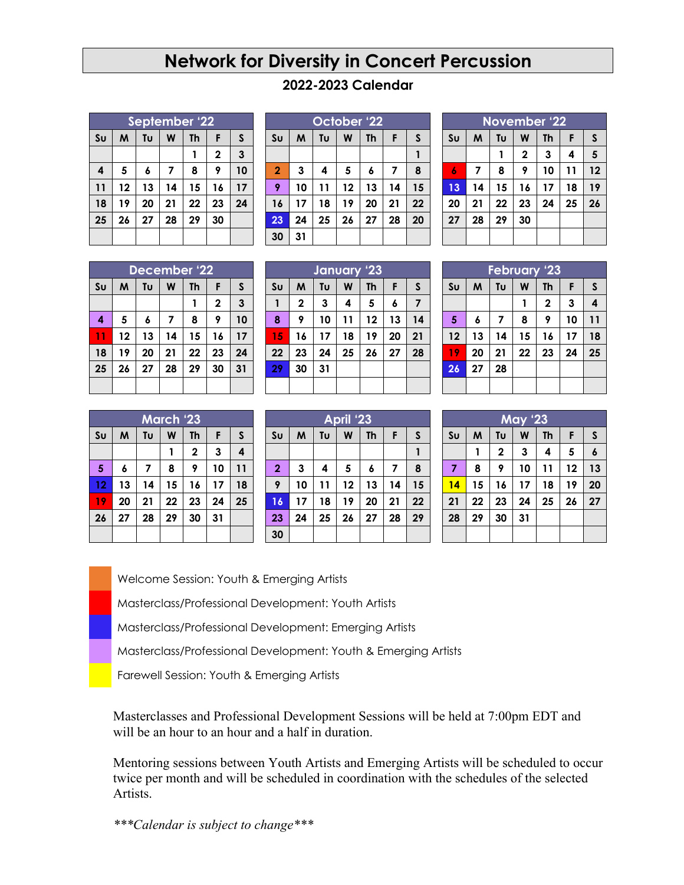## **Network for Diversity in Concert Percussion**

## **2022-2023 Calendar**

| September '22  |    |    |    |           |             |    |
|----------------|----|----|----|-----------|-------------|----|
| S <sub>U</sub> | M  | Tυ | W  | <b>Th</b> | F           | S  |
|                |    |    |    |           | $\mathbf 2$ | 3  |
| 4              | 5  | 6  | 7  | 8         | 9           | 10 |
| 11             | 12 | 13 | 14 | 15        | 16          | 17 |
| 18             | 19 | 20 | 21 | 22        | 23          | 24 |
| 25             | 26 | 27 | 28 | 29        | 30          |    |
|                |    |    |    |           |             |    |

|                | October '22 |    |    |    |    |              |  |  |
|----------------|-------------|----|----|----|----|--------------|--|--|
| S <sub>U</sub> | M           | Tυ | W  | Th | F  | $\mathsf{s}$ |  |  |
|                |             |    |    |    |    |              |  |  |
| $\overline{2}$ | 3           | 4  | 5  | 6  | 7  | 8            |  |  |
| 9              | 10          | 11 | 12 | 13 | 14 | 15           |  |  |
| 16             | 17          | 18 | 19 | 20 | 21 | 22           |  |  |
| 23             | 24          | 25 | 26 | 27 | 28 | 20           |  |  |
| 30             | 31          |    |    |    |    |              |  |  |

| <b>November '22</b> |    |    |             |           |    |              |  |
|---------------------|----|----|-------------|-----------|----|--------------|--|
| S <sub>U</sub>      | M  | Tυ | W           | <b>Th</b> | F  | $\mathsf{s}$ |  |
|                     |    | 1  | $\mathbf 2$ | 3         | 4  | 5            |  |
| $\boldsymbol{6}$    | 7  | 8  | 9           | 10        | 11 | 12           |  |
| 13                  | 14 | 15 | 16          | 17        | 18 | 19           |  |
| 20                  | 21 | 22 | 23          | 24        | 25 | 26           |  |
| 27                  | 28 | 29 | 30          |           |    |              |  |
|                     |    |    |             |           |    |              |  |

| December '22   |    |    |    |           |             |              |
|----------------|----|----|----|-----------|-------------|--------------|
| S <sub>U</sub> | M  | Tu | W  | <b>Th</b> | F           | $\mathsf{s}$ |
|                |    |    |    |           | $\mathbf 2$ | 3            |
| 4              | 5  | 6  | 7  | 8         | 9           | 10           |
| 11             | 12 | 13 | 14 | 15        | 16          | 17           |
| 18             | 19 | 20 | 21 | 22        | 23          | 24           |
| 25             | 26 | 27 | 28 | 29        | 30          | 31           |
|                |    |    |    |           |             |              |

| January '23    |             |    |    |    |    |    |
|----------------|-------------|----|----|----|----|----|
| S <sub>U</sub> | M           | Tυ | W  | Th | F  | S  |
| 1              | $\mathbf 2$ | 3  | 4  | 5  | 6  | 7  |
| 8              | 9           | 10 | 11 | 12 | 13 | 14 |
| 15             | 16          | 17 | 18 | 19 | 20 | 21 |
| 22             | 23          | 24 | 25 | 26 | 27 | 28 |
| 29             | 30          | 31 |    |    |    |    |
|                |             |    |    |    |    |    |

| <b>February '23</b>   |    |    |    |           |    |              |  |
|-----------------------|----|----|----|-----------|----|--------------|--|
| Su                    | M  | Tu | W  | <b>Th</b> | F  | $\mathsf{s}$ |  |
| 3<br>$\mathbf 2$<br>4 |    |    |    |           |    |              |  |
| 5                     | 6  | 7  | 8  | 9         | 10 | 11           |  |
| 12                    | 13 | 14 | 15 | 16        | 17 | 18           |  |
| 19                    | 20 | 21 | 22 | 23        | 24 | 25           |  |
| 26                    | 27 | 28 |    |           |    |              |  |
|                       |    |    |    |           |    |              |  |

| <b>March '23</b>        |    |    |    |              |    |    |  |
|-------------------------|----|----|----|--------------|----|----|--|
| S <sub>U</sub>          | M  | Tυ | W  | <b>Th</b>    | F  | S  |  |
|                         |    |    |    | $\mathbf{2}$ | 3  | 4  |  |
| $\overline{\mathbf{5}}$ | 6  | 7  | 8  | 9            | 10 | 11 |  |
| 12                      | 13 | 14 | 15 | 16           | 17 | 18 |  |
| 19                      | 20 | 21 | 22 | 23           | 24 | 25 |  |
| 26                      | 27 | 28 | 29 | 30           | 31 |    |  |
|                         |    |    |    |              |    |    |  |

| April '23      |    |    |    |           |    |              |  |  |
|----------------|----|----|----|-----------|----|--------------|--|--|
| S <sub>U</sub> | M  | Tυ | W  | <b>Th</b> | F  | $\mathsf{s}$ |  |  |
|                |    |    |    |           |    |              |  |  |
| $\overline{2}$ | 3  | 4  | 5  | 6         | 7  | 8            |  |  |
| 9              | 10 | 11 | 12 | 13        | 14 | 15           |  |  |
| 16             | 17 | 18 | 19 | 20        | 21 | 22           |  |  |
| 23             | 24 | 25 | 26 | 27        | 28 | 29           |  |  |
| 30             |    |    |    |           |    |              |  |  |

| <b>May '23</b> |    |             |    |           |    |                  |  |  |
|----------------|----|-------------|----|-----------|----|------------------|--|--|
| S <sub>U</sub> | M  | Tu          | W  | <b>Th</b> | F  | $\mathsf{s}$     |  |  |
|                |    | $\mathbf 2$ | 3  | 4         | 5  | $\boldsymbol{6}$ |  |  |
| $\overline{7}$ | 8  | 9           | 10 | 11        | 12 | 13               |  |  |
| 14             | 15 | 16          | 17 | 18        | 19 | 20               |  |  |
| 21             | 22 | 23          | 24 | 25        | 26 | 27               |  |  |
| 28             | 29 | 30          | 31 |           |    |                  |  |  |
|                |    |             |    |           |    |                  |  |  |

Welcome Session: Youth & Emerging Artists

r Masterclass/Professional Development: Youth Artists

b Masterclass/Professional Development: Emerging Artists

p Masterclass/Professional Development: Youth & Emerging Artists

Farewell Session: Youth & Emerging Artists

Masterclasses and Professional Development Sessions will be held at 7:00pm EDT and will be an hour to an hour and a half in duration.

Mentoring sessions between Youth Artists and Emerging Artists will be scheduled to occur twice per month and will be scheduled in coordination with the schedules of the selected Artists.

*\*\*\*Calendar is subject to change\*\*\**